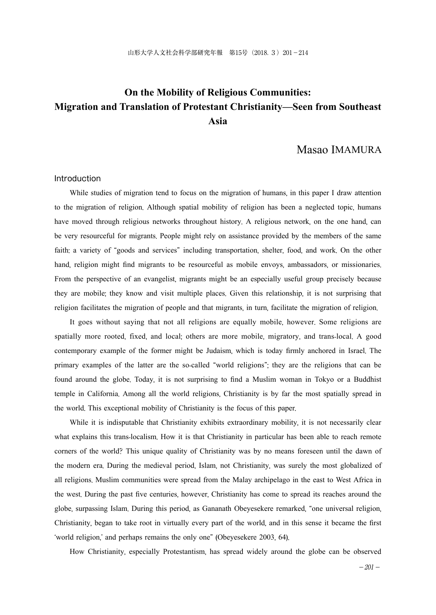# **On the Mobility of Religious Communities: Migration and Translation of Protestant Christianity—Seen from Southeast Asia**

### Masao IMAMURA

#### Introduction

While studies of migration tend to focus on the migration of humans, in this paper I draw attention to the migration of religion. Although spatial mobility of religion has been a neglected topic, humans have moved through religious networks throughout history. A religious network, on the one hand, can be very resourceful for migrants. People might rely on assistance provided by the members of the same faith: a variety of "goods and services" including transportation, shelter, food, and work. On the other hand, religion might find migrants to be resourceful as mobile envoys, ambassadors, or missionaries. From the perspective of an evangelist, migrants might be an especially useful group precisely because they are mobile; they know and visit multiple places. Given this relationship, it is not surprising that religion facilitates the migration of people and that migrants, in turn, facilitate the migration of religion.

It goes without saying that not all religions are equally mobile, however. Some religions are spatially more rooted, fixed, and local; others are more mobile, migratory, and trans-local. A good contemporary example of the former might be Judaism, which is today firmly anchored in Israel. The primary examples of the latter are the so-called "world religions"; they are the religions that can be found around the globe. Today, it is not surprising to find a Muslim woman in Tokyo or a Buddhist temple in California. Among all the world religions, Christianity is by far the most spatially spread in the world. This exceptional mobility of Christianity is the focus of this paper.

While it is indisputable that Christianity exhibits extraordinary mobility, it is not necessarily clear what explains this trans-localism. How it is that Christianity in particular has been able to reach remote corners of the world? This unique quality of Christianity was by no means foreseen until the dawn of the modern era. During the medieval period, Islam, not Christianity, was surely the most globalized of all religions. Muslim communities were spread from the Malay archipelago in the east to West Africa in the west. During the past five centuries, however, Christianity has come to spread its reaches around the globe, surpassing Islam. During this period, as Gananath Obeyesekere remarked, "one universal religion, Christianity, began to take root in virtually every part of the world, and in this sense it became the first 'world religion,' and perhaps remains the only one" (Obeyesekere 2003, 64).

How Christianity, especially Protestantism, has spread widely around the globe can be observed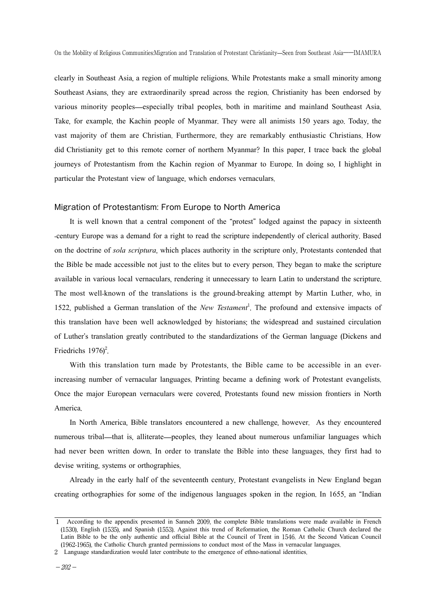clearly in Southeast Asia, a region of multiple religions. While Protestants make a small minority among Southeast Asians, they are extraordinarily spread across the region. Christianity has been endorsed by various minority peoples—especially tribal peoples, both in maritime and mainland Southeast Asia. Take, for example, the Kachin people of Myanmar. They were all animists 150 years ago. Today, the vast majority of them are Christian. Furthermore, they are remarkably enthusiastic Christians. How did Christianity get to this remote corner of northern Myanmar? In this paper, I trace back the global journeys of Protestantism from the Kachin region of Myanmar to Europe. In doing so, I highlight in particular the Protestant view of language, which endorses vernaculars.

#### Migration of Protestantism: From Europe to North America

It is well known that a central component of the "protest" lodged against the papacy in sixteenth -century Europe was a demand for a right to read the scripture independently of clerical authority. Based on the doctrine of *sola scriptura*, which places authority in the scripture only, Protestants contended that the Bible be made accessible not just to the elites but to every person. They began to make the scripture available in various local vernaculars, rendering it unnecessary to learn Latin to understand the scripture. The most well-known of the translations is the ground-breaking attempt by Martin Luther, who, in 1522, published a German translation of the *New Testament*<sup>1</sup> . The profound and extensive impacts of this translation have been well acknowledged by historians; the widespread and sustained circulation of Luther's translation greatly contributed to the standardizations of the German language (Dickens and Friedrichs 1976)<sup>2</sup>.

With this translation turn made by Protestants, the Bible came to be accessible in an everincreasing number of vernacular languages. Printing became a defining work of Protestant evangelists. Once the major European vernaculars were covered, Protestants found new mission frontiers in North America.

In North America, Bible translators encountered a new challenge, however. As they encountered numerous tribal—that is, alliterate—peoples, they leaned about numerous unfamiliar languages which had never been written down. In order to translate the Bible into these languages, they first had to devise writing, systems or orthographies.

Already in the early half of the seventeenth century, Protestant evangelists in New England began creating orthographies for some of the indigenous languages spoken in the region. In 1655, an "Indian

<sup>1</sup> According to the appendix presented in Sanneh 2009, the complete Bible translations were made available in French (1530), English (1535), and Spanish (1553). Against this trend of Reformation, the Roman Catholic Church declared the Latin Bible to be the only authentic and official Bible at the Council of Trent in 1546. At the Second Vatican Council (1962-1965), the Catholic Church granted permissions to conduct most of the Mass in vernacular languages.

<sup>2</sup> Language standardization would later contribute to the emergence of ethno-national identities.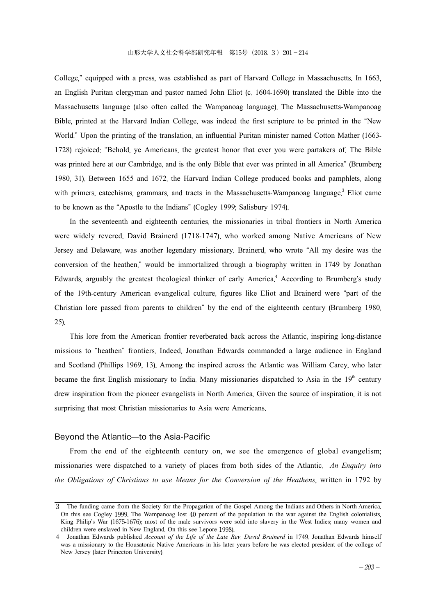College," equipped with a press, was established as part of Harvard College in Massachusetts. In 1663, an English Puritan clergyman and pastor named John Eliot (c. 1604-1690) translated the Bible into the Massachusetts language (also often called the Wampanoag language). The Massachusetts-Wampanoag Bible, printed at the Harvard Indian College, was indeed the first scripture to be printed in the "New World." Upon the printing of the translation, an influential Puritan minister named Cotton Mather (1663- 1728) rejoiced: "Behold, ye Americans, the greatest honor that ever you were partakers of. The Bible was printed here at our Cambridge, and is the only Bible that ever was printed in all America" (Brumberg 1980, 31). Between 1655 and 1672, the Harvard Indian College produced books and pamphlets, along with primers, catechisms, grammars, and tracts in the Massachusetts-Wampanoag language.<sup>3</sup> Eliot came to be known as the "Apostle to the Indians" (Cogley 1999; Salisbury 1974).

In the seventeenth and eighteenth centuries, the missionaries in tribal frontiers in North America were widely revered. David Brainerd (1718-1747), who worked among Native Americans of New Jersey and Delaware, was another legendary missionary. Brainerd, who wrote "All my desire was the conversion of the heathen," would be immortalized through a biography written in 1749 by Jonathan Edwards, arguably the greatest theological thinker of early America. <sup>4</sup> According to Brumberg's study of the 19th-century American evangelical culture, figures like Eliot and Brainerd were "part of the Christian lore passed from parents to children" by the end of the eighteenth century (Brumberg 1980, 25).

This lore from the American frontier reverberated back across the Atlantic, inspiring long-distance missions to "heathen" frontiers. Indeed, Jonathan Edwards commanded a large audience in England and Scotland (Phillips 1969, 13). Among the inspired across the Atlantic was William Carey, who later became the first English missionary to India. Many missionaries dispatched to Asia in the  $19<sup>th</sup>$  century drew inspiration from the pioneer evangelists in North America. Given the source of inspiration, it is not surprising that most Christian missionaries to Asia were Americans.

#### Beyond the Atlantic—to the Asia-Pacific

From the end of the eighteenth century on, we see the emergence of global evangelism; missionaries were dispatched to a variety of places from both sides of the Atlantic. *An Enquiry into the Obligations of Christians to use Means for the Conversion of the Heathens*, written in 1792 by

<sup>3</sup> The funding came from the Society for the Propagation of the Gospel Among the Indians and Others in North America. On this see Cogley 1999. The Wampanoag lost 40 percent of the population in the war against the English colonialists, King Philip's War (1675-1676); most of the male survivors were sold into slavery in the West Indies; many women and children were enslaved in New England. On this see Lepore 1998).

<sup>4</sup> Jonathan Edwards published *Account of the Life of the Late Rev*. *David Brainerd* in 1749. Jonathan Edwards himself was a missionary to the Housatonic Native Americans in his later years before he was elected president of the college of New Jersey (later Princeton University).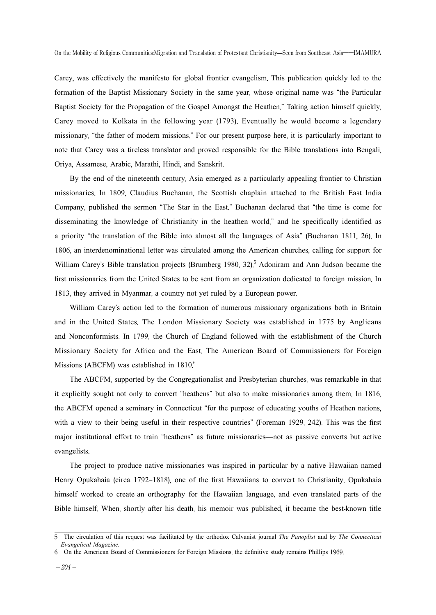Carey, was effectively the manifesto for global frontier evangelism. This publication quickly led to the formation of the Baptist Missionary Society in the same year, whose original name was "the Particular Baptist Society for the Propagation of the Gospel Amongst the Heathen." Taking action himself quickly, Carey moved to Kolkata in the following year (1793). Eventually he would become a legendary missionary, "the father of modern missions." For our present purpose here, it is particularly important to note that Carey was a tireless translator and proved responsible for the Bible translations into Bengali, Oriya, Assamese, Arabic, Marathi, Hindi, and Sanskrit.

By the end of the nineteenth century, Asia emerged as a particularly appealing frontier to Christian missionaries. In 1809, Claudius Buchanan, the Scottish chaplain attached to the British East India Company, published the sermon "The Star in the East." Buchanan declared that "the time is come for disseminating the knowledge of Christianity in the heathen world," and he specifically identified as a priority "the translation of the Bible into almost all the languages of Asia" (Buchanan 1811, 26). In 1806, an interdenominational letter was circulated among the American churches, calling for support for William Carey's Bible translation projects (Brumberg 1980, 32).<sup>5</sup> Adoniram and Ann Judson became the first missionaries from the United States to be sent from an organization dedicated to foreign mission. In 1813, they arrived in Myanmar, a country not yet ruled by a European power.

William Carey's action led to the formation of numerous missionary organizations both in Britain and in the United States. The London Missionary Society was established in 1775 by Anglicans and Nonconformists. In 1799, the Church of England followed with the establishment of the Church Missionary Society for Africa and the East. The American Board of Commissioners for Foreign Missions (ABCFM) was established in 1810.<sup>6</sup>

The ABCFM, supported by the Congregationalist and Presbyterian churches, was remarkable in that it explicitly sought not only to convert "heathens" but also to make missionaries among them. In 1816, the ABCFM opened a seminary in Connecticut "for the purpose of educating youths of Heathen nations, with a view to their being useful in their respective countries" (Foreman 1929, 242). This was the first major institutional effort to train "heathens" as future missionaries—not as passive converts but active evangelists.

The project to produce native missionaries was inspired in particular by a native Hawaiian named Henry Opukahaia (circa 1792–1818), one of the first Hawaiians to convert to Christianity. Opukahaia himself worked to create an orthography for the Hawaiian language, and even translated parts of the Bible himself. When, shortly after his death, his memoir was published, it became the best-known title

<sup>5</sup> The circulation of this request was facilitated by the orthodox Calvanist journal *The Panoplist* and by *The Connecticut Evangelical Magazine*.

<sup>6</sup> On the American Board of Commissioners for Foreign Missions, the definitive study remains Phillips 1969.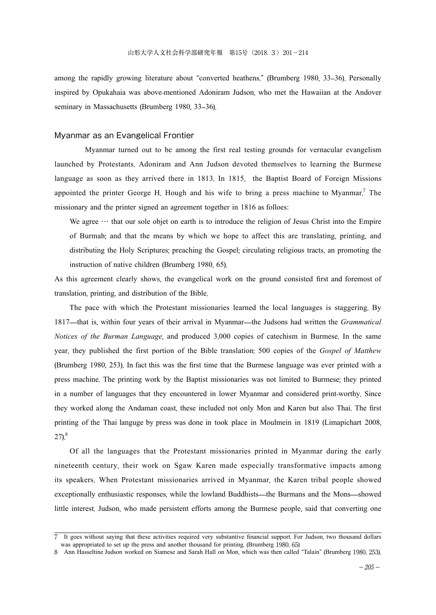among the rapidly growing literature about "converted heathens." (Brumberg 1980, 33–36). Personally inspired by Opukahaia was above-mentioned Adoniram Judson, who met the Hawaiian at the Andover seminary in Massachusetts (Brumberg 1980, 33–36).

#### Myanmar as an Evangelical Frontier

Myanmar turned out to be among the first real testing grounds for vernacular evangelism launched by Protestants. Adoniram and Ann Judson devoted themselves to learning the Burmese language as soon as they arrived there in 1813. In 1815, the Baptist Board of Foreign Missions appointed the printer George H. Hough and his wife to bring a press machine to Myanmar.<sup>7</sup> The missionary and the printer signed an agreement together in 1816 as folloes:

We agree  $\cdots$  that our sole objet on earth is to introduce the religion of Jesus Christ into the Empire of Burmah; and that the means by which we hope to affect this are translating, printing, and distributing the Holy Scriptures; preaching the Gospel; circulating religious tracts, an promoting the instruction of native children (Brumberg 1980, 65).

As this agreement clearly shows, the evangelical work on the ground consisted first and foremost of translation, printing, and distribution of the Bible.

The pace with which the Protestant missionaries learned the local languages is staggering. By 1817—that is, within four years of their arrival in Myanmar—the Judsons had written the *Grammatical Notices of the Burman Language*, and produced 3,000 copies of catechism in Burmese. In the same year, they published the first portion of the Bible translation: 500 copies of the *Gospel of Matthew* (Brumberg 1980, 253). In fact this was the first time that the Burmese language was ever printed with a press machine. The printing work by the Baptist missionaries was not limited to Burmese; they printed in a number of languages that they encountered in lower Myanmar and considered print-worthy. Since they worked along the Andaman coast, these included not only Mon and Karen but also Thai. The first printing of the Thai languge by press was done in took place in Moulmein in 1819 (Limapichart 2008,  $27)^8$ 

Of all the languages that the Protestant missionaries printed in Myanmar during the early nineteenth century, their work on Sgaw Karen made especially transformative impacts among its speakers. When Protestant missionaries arrived in Myanmar, the Karen tribal people showed exceptionally enthusiastic responses, while the lowland Buddhists—the Burmans and the Mons—showed little interest. Judson, who made persistent efforts among the Burmese people, said that converting one

<sup>7</sup> It goes without saying that these activities required very substantive financial support. For Judson, two thousand dollars was appropriated to set up the press and another thousand for printing. (Brumberg 1980, 65)

<sup>8</sup> Ann Hasseltine Judson worked on Siamese and Sarah Hall on Mon, which was then called "Talain" (Brumberg 1980, 253).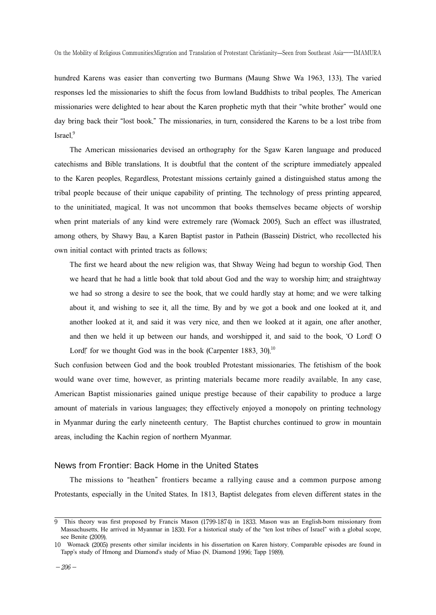hundred Karens was easier than converting two Burmans (Maung Shwe Wa 1963, 133). The varied responses led the missionaries to shift the focus from lowland Buddhists to tribal peoples. The American missionaries were delighted to hear about the Karen prophetic myth that their "white brother" would one day bring back their "lost book." The missionaries, in turn, considered the Karens to be a lost tribe from Israel.<sup>9</sup>

The American missionaries devised an orthography for the Sgaw Karen language and produced catechisms and Bible translations. It is doubtful that the content of the scripture immediately appealed to the Karen peoples. Regardless, Protestant missions certainly gained a distinguished status among the tribal people because of their unique capability of printing. The technology of press printing appeared, to the uninitiated, magical. It was not uncommon that books themselves became objects of worship when print materials of any kind were extremely rare (Womack 2005). Such an effect was illustrated, among others, by Shawy Bau, a Karen Baptist pastor in Pathein (Bassein) District, who recollected his own initial contact with printed tracts as follows:

The first we heard about the new religion was, that Shway Weing had begun to worship God. Then we heard that he had a little book that told about God and the way to worship him; and straightway we had so strong a desire to see the book, that we could hardly stay at home; and we were talking about it, and wishing to see it, all the time. By and by we got a book and one looked at it, and another looked at it, and said it was very nice, and then we looked at it again, one after another, and then we held it up between our hands, and worshipped it, and said to the book, 'O Lord! O Lord!' for we thought God was in the book (Carpenter 1883, 30).<sup>10</sup>

Such confusion between God and the book troubled Protestant missionaries. The fetishism of the book would wane over time, however, as printing materials became more readily available. In any case, American Baptist missionaries gained unique prestige because of their capability to produce a large amount of materials in various languages; they effectively enjoyed a monopoly on printing technology in Myanmar during the early nineteenth century. The Baptist churches continued to grow in mountain areas, including the Kachin region of northern Myanmar.

#### News from Frontier: Back Home in the United States

The missions to "heathen" frontiers became a rallying cause and a common purpose among Protestants, especially in the United States. In 1813, Baptist delegates from eleven different states in the

<sup>9</sup> This theory was first proposed by Francis Mason (1799-1874) in 1833. Mason was an English-born missionary from Massachusetts. He arrived in Myanmar in 1830. For a historical study of the "ten lost tribes of Israel" with a global scope, see Benite (2009).

<sup>10</sup> Womack (2005) presents other similar incidents in his dissertation on Karen history. Comparable episodes are found in Tapp's study of Hmong and Diamond's study of Miao (N. Diamond 1996; Tapp 1989).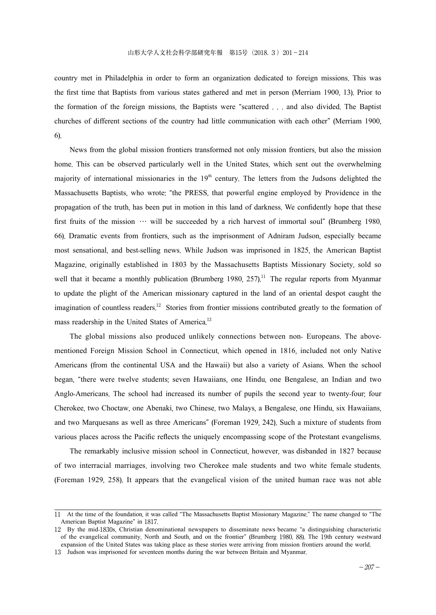country met in Philadelphia in order to form an organization dedicated to foreign missions. This was the first time that Baptists from various states gathered and met in person (Merriam 1900, 13). Prior to the formation of the foreign missions, the Baptists were "scattered . . . and also divided. The Baptist churches of different sections of the country had little communication with each other" (Merriam 1900, 6).

News from the global mission frontiers transformed not only mission frontiers, but also the mission home. This can be observed particularly well in the United States, which sent out the overwhelming majority of international missionaries in the  $19<sup>th</sup>$  century. The letters from the Judsons delighted the Massachusetts Baptists, who wrote: "the PRESS, that powerful engine employed by Providence in the propagation of the truth, has been put in motion in this land of darkness. We confidently hope that these first fruits of the mission  $\cdots$  will be succeeded by a rich harvest of immortal soul" (Brumberg 1980, 66). Dramatic events from frontiers, such as the imprisonment of Adniram Judson, especially became most sensational, and best-selling news. While Judson was imprisoned in 1825, the American Baptist Magazine, originally established in 1803 by the Massachusetts Baptists Missionary Society, sold so well that it became a monthly publication (Brumberg 1980,  $257$ ).<sup>11</sup> The regular reports from Myanmar to update the plight of the American missionary captured in the land of an oriental despot caught the imagination of countless readers.<sup>12</sup> Stories from frontier missions contributed greatly to the formation of mass readership in the United States of America.<sup>13</sup>

The global missions also produced unlikely connections between non- Europeans. The abovementioned Foreign Mission School in Connecticut, which opened in 1816, included not only Native Americans (from the continental USA and the Hawaii) but also a variety of Asians. When the school began, "there were twelve students; seven Hawaiians, one Hindu, one Bengalese, an Indian and two Anglo-Americans. The school had increased its number of pupils the second year to twenty-four; four Cherokee, two Choctaw, one Abenaki, two Chinese, two Malays, a Bengalese, one Hindu, six Hawaiians, and two Marquesans as well as three Americans" (Foreman 1929, 242). Such a mixture of students from various places across the Pacific reflects the uniquely encompassing scope of the Protestant evangelisms.

The remarkably inclusive mission school in Connecticut, however, was disbanded in 1827 because of two interracial marriages, involving two Cherokee male students and two white female students. (Foreman 1929, 258). It appears that the evangelical vision of the united human race was not able

<sup>11</sup> At the time of the foundation, it was called "The Massachusetts Baptist Missionary Magazine." The name changed to "The American Baptist Magazine" in 1817.

<sup>12</sup> By the mid-1830s, Christian denominational newspapers to disseminate news became "a distinguishing characteristic of the evangelical community, North and South, and on the frontier" (Brumberg 1980, 88). The 19th century westward expansion of the United States was taking place as these stories were arriving from mission frontiers around the world.

<sup>13</sup> Judson was imprisoned for seventeen months during the war between Britain and Myanmar.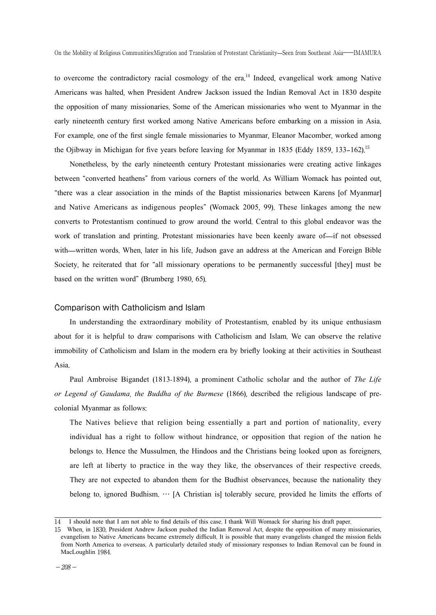to overcome the contradictory racial cosmology of the era. <sup>14</sup> Indeed, evangelical work among Native Americans was halted, when President Andrew Jackson issued the Indian Removal Act in 1830 despite the opposition of many missionaries. Some of the American missionaries who went to Myanmar in the early nineteenth century first worked among Native Americans before embarking on a mission in Asia. For example, one of the first single female missionaries to Myanmar, Eleanor Macomber, worked among the Ojibway in Michigan for five years before leaving for Myanmar in 1835 (Eddy 1859, 133–162).<sup>15</sup>

Nonetheless, by the early nineteenth century Protestant missionaries were creating active linkages between "converted heathens" from various corners of the world. As William Womack has pointed out, "there was a clear association in the minds of the Baptist missionaries between Karens [of Myanmar] and Native Americans as indigenous peoples" (Womack 2005, 99). These linkages among the new converts to Protestantism continued to grow around the world. Central to this global endeavor was the work of translation and printing. Protestant missionaries have been keenly aware of—if not obsessed with—written words. When, later in his life, Judson gave an address at the American and Foreign Bible Society, he reiterated that for "all missionary operations to be permanently successful [they] must be based on the written word" (Brumberg 1980, 65).

#### Comparison with Catholicism and Islam

In understanding the extraordinary mobility of Protestantism, enabled by its unique enthusiasm about for it is helpful to draw comparisons with Catholicism and Islam. We can observe the relative immobility of Catholicism and Islam in the modern era by briefly looking at their activities in Southeast Asia.

Paul Ambroise Bigandet (1813-1894), a prominent Catholic scholar and the author of *The Life or Legend of Gaudama*, *the Buddha of the Burmese* (1866), described the religious landscape of precolonial Myanmar as follows:

The Natives believe that religion being essentially a part and portion of nationality, every individual has a right to follow without hindrance, or opposition that region of the nation he belongs to. Hence the Mussulmen, the Hindoos and the Christians being looked upon as foreigners, are left at liberty to practice in the way they like, the observances of their respective creeds. They are not expected to abandon them for the Budhist observances, because the nationality they belong to, ignored Budhism. … [A Christian is] tolerably secure, provided he limits the efforts of

<sup>14</sup> I should note that I am not able to find details of this case. I thank Will Womack for sharing his draft paper.

<sup>15</sup> When, in 1830, President Andrew Jackson pushed the Indian Removal Act, despite the opposition of many missionaries, evangelism to Native Americans became extremely difficult. It is possible that many evangelists changed the mission fields from North America to overseas. A particularly detailed study of missionary responses to Indian Removal can be found in MacLoughlin 1984.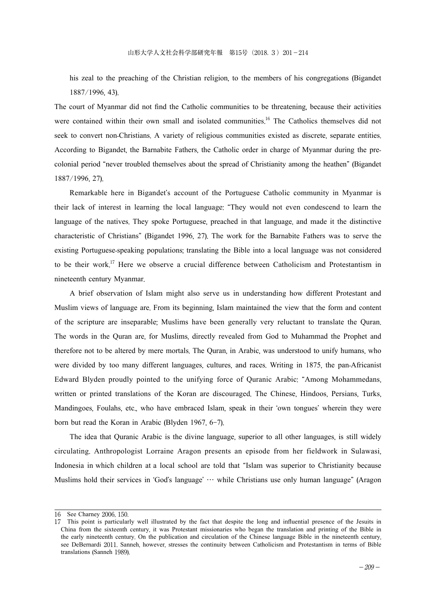his zeal to the preaching of the Christian religion, to the members of his congregations (Bigandet 1887/1996, 43).

The court of Myanmar did not find the Catholic communities to be threatening, because their activities were contained within their own small and isolated communities.<sup>16</sup> The Catholics themselves did not seek to convert non-Christians. A variety of religious communities existed as discrete, separate entities. According to Bigandet, the Barnabite Fathers, the Catholic order in charge of Myanmar during the precolonial period "never troubled themselves about the spread of Christianity among the heathen" (Bigandet 1887/1996, 27).

Remarkable here in Bigandet's account of the Portuguese Catholic community in Myanmar is their lack of interest in learning the local language: "They would not even condescend to learn the language of the natives. They spoke Portuguese, preached in that language, and made it the distinctive characteristic of Christians" (Bigandet 1996, 27). The work for the Barnabite Fathers was to serve the existing Portuguese-speaking populations; translating the Bible into a local language was not considered to be their work. <sup>17</sup> Here we observe a crucial difference between Catholicism and Protestantism in nineteenth century Myanmar.

A brief observation of Islam might also serve us in understanding how different Protestant and Muslim views of language are. From its beginning, Islam maintained the view that the form and content of the scripture are inseparable; Muslims have been generally very reluctant to translate the Quran. The words in the Quran are, for Muslims, directly revealed from God to Muhammad the Prophet and therefore not to be altered by mere mortals. The Quran, in Arabic, was understood to unify humans, who were divided by too many different languages, cultures, and races. Writing in 1875, the pan-Africanist Edward Blyden proudly pointed to the unifying force of Quranic Arabic: "Among Mohammedans, written or printed translations of the Koran are discouraged. The Chinese, Hindoos, Persians, Turks, Mandingoes, Foulahs, etc., who have embraced Islam, speak in their 'own tongues' wherein they were born but read the Koran in Arabic (Blyden 1967, 6–7).

The idea that Quranic Arabic is the divine language, superior to all other languages, is still widely circulating. Anthropologist Lorraine Aragon presents an episode from her fieldwork in Sulawasi, Indonesia in which children at a local school are told that "Islam was superior to Christianity because Muslims hold their services in 'God's language' … while Christians use only human language" (Aragon

<sup>16</sup> See Charney 2006, 150.

<sup>17</sup> This point is particularly well illustrated by the fact that despite the long and influential presence of the Jesuits in China from the sixteenth century, it was Protestant missionaries who began the translation and printing of the Bible in the early nineteenth century. On the publication and circulation of the Chinese language Bible in the nineteenth century, see DeBernardi 2011. Sanneh, however, stresses the continuity between Catholicism and Protestantism in terms of Bible translations (Sanneh 1989).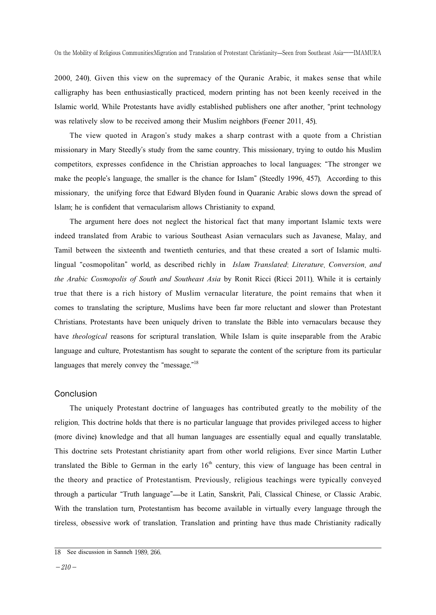2000, 240). Given this view on the supremacy of the Quranic Arabic, it makes sense that while calligraphy has been enthusiastically practiced, modern printing has not been keenly received in the Islamic world. While Protestants have avidly established publishers one after another, "print technology was relatively slow to be received among their Muslim neighbors (Feener 2011, 45).

The view quoted in Aragon's study makes a sharp contrast with a quote from a Christian missionary in Mary Steedly's study from the same country. This missionary, trying to outdo his Muslim competitors, expresses confidence in the Christian approaches to local languages: "The stronger we make the people's language, the smaller is the chance for Islam" (Steedly 1996, 457). According to this missionary, the unifying force that Edward Blyden found in Quaranic Arabic slows down the spread of lslam; he is confident that vernacularism allows Christianity to expand.

The argument here does not neglect the historical fact that many important Islamic texts were indeed translated from Arabic to various Southeast Asian vernaculars such as Javanese, Malay, and Tamil between the sixteenth and twentieth centuries, and that these created a sort of Islamic multilingual "cosmopolitan" world, as described richly in *Islam Translated*: *Literature*, *Conversion*, *and the Arabic Cosmopolis of South and Southeast Asia* by Ronit Ricci (Ricci 2011). While it is certainly true that there is a rich history of Muslim vernacular literature, the point remains that when it comes to translating the scripture, Muslims have been far more reluctant and slower than Protestant Christians. Protestants have been uniquely driven to translate the Bible into vernaculars because they have *theological* reasons for scriptural translation. While Islam is quite inseparable from the Arabic language and culture, Protestantism has sought to separate the content of the scripture from its particular languages that merely convey the "message."<sup>18</sup>

#### Conclusion

The uniquely Protestant doctrine of languages has contributed greatly to the mobility of the religion. This doctrine holds that there is no particular language that provides privileged access to higher (more divine) knowledge and that all human languages are essentially equal and equally translatable. This doctrine sets Protestant christianity apart from other world religions. Ever since Martin Luther translated the Bible to German in the early  $16<sup>th</sup>$  century, this view of language has been central in the theory and practice of Protestantism. Previously, religious teachings were typically conveyed through a particular "Truth language"—be it Latin, Sanskrit, Pali, Classical Chinese, or Classic Arabic. With the translation turn, Protestantism has become available in virtually every language through the tireless, obsessive work of translation. Translation and printing have thus made Christianity radically

<sup>18</sup> See discussion in Sanneh 1989, 266.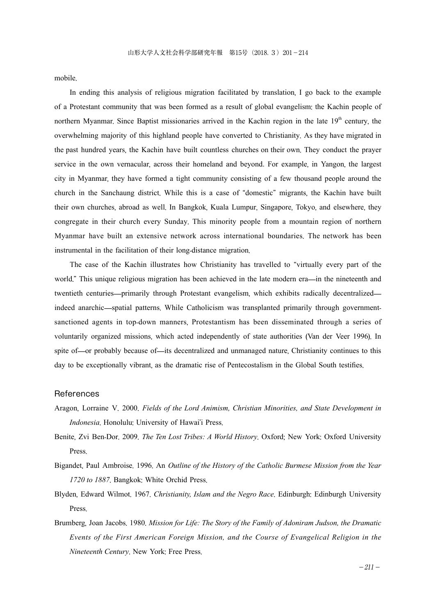mobile.

In ending this analysis of religious migration facilitated by translation, I go back to the example of a Protestant community that was been formed as a result of global evangelism: the Kachin people of northern Myanmar. Since Baptist missionaries arrived in the Kachin region in the late  $19<sup>th</sup>$  century, the overwhelming majority of this highland people have converted to Christianity. As they have migrated in the past hundred years, the Kachin have built countless churches on their own. They conduct the prayer service in the own vernacular, across their homeland and beyond. For example, in Yangon, the largest city in Myanmar, they have formed a tight community consisting of a few thousand people around the church in the Sanchaung district. While this is a case of "domestic" migrants, the Kachin have built their own churches, abroad as well. In Bangkok, Kuala Lumpur, Singapore, Tokyo, and elsewhere, they congregate in their church every Sunday. This minority people from a mountain region of northern Myanmar have built an extensive network across international boundaries. The network has been instrumental in the facilitation of their long-distance migration.

The case of the Kachin illustrates how Christianity has travelled to "virtually every part of the world." This unique religious migration has been achieved in the late modern era—in the nineteenth and twentieth centuries—primarily through Protestant evangelism, which exhibits radically decentralized indeed anarchic—spatial patterns. While Catholicism was transplanted primarily through governmentsanctioned agents in top-down manners, Protestantism has been disseminated through a series of voluntarily organized missions, which acted independently of state authorities (Van der Veer 1996). In spite of—or probably because of—its decentralized and unmanaged nature, Christianity continues to this day to be exceptionally vibrant, as the dramatic rise of Pentecostalism in the Global South testifies.

#### References

- Aragon, Lorraine V. 2000. *Fields of the Lord Animism, Christian Minorities, and State Development in Indonesia*. Honolulu: University of Hawai'i Press.
- Benite, Zvi Ben-Dor. 2009. *The Ten Lost Tribes: A World History*. Oxford; New York: Oxford University Press.
- Bigandet, Paul Ambroise. 1996. An *Outline of the History of the Catholic Burmese Mission from the Year 1720 to 1887*. Bangkok: White Orchid Press.
- Blyden, Edward Wilmot. 1967. *Christianity, Islam and the Negro Race*. Edinburgh: Edinburgh University Press.
- Brumberg, Joan Jacobs. 1980. *Mission for Life: The Story of the Family of Adoniram Judson, the Dramatic Events of the First American Foreign Mission, and the Course of Evangelical Religion in the Nineteenth Century*. New York: Free Press.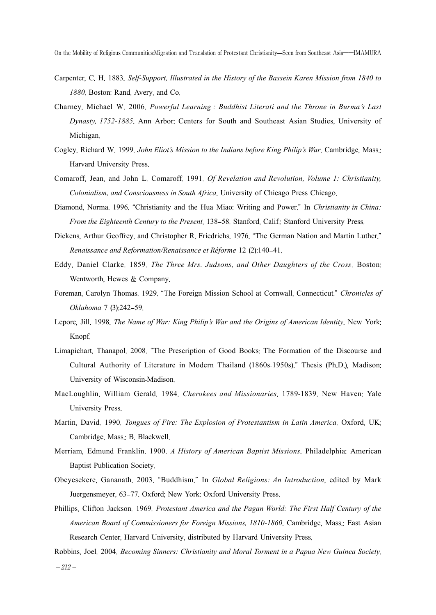- Carpenter, C. H. 1883. *Self-Support, Illustrated in the History of the Bassein Karen Mission from 1840 to 1880*. Boston: Rand, Avery, and Co.
- Charney, Michael W. 2006. *Powerful Learning : Buddhist Literati and the Throne in Burma's Last Dynasty, 1752-1885*. Ann Arbor: Centers for South and Southeast Asian Studies, University of Michigan.
- Cogley, Richard W. 1999. *John Eliot's Mission to the Indians before King Philip's War*. Cambridge, Mass.: Harvard University Press.
- Comaroff, Jean, and John L. Comaroff. 1991. *Of Revelation and Revolution, Volume 1: Christianity, Colonialism, and Consciousness in South Africa*. University of Chicago Press Chicago.
- Diamond, Norma. 1996. "Christianity and the Hua Miao: Writing and Power." In *Christianity in China: From the Eighteenth Century to the Present*, 138–58. Stanford, Calif.: Stanford University Press.
- Dickens, Arthur Geoffrey, and Christopher R. Friedrichs. 1976. "The German Nation and Martin Luther." *Renaissance and Reformation/Renaissance et Réforme* 12 (2):140–41.
- Eddy, Daniel Clarke. 1859. *The Three Mrs. Judsons, and Other Daughters of the Cross*. Boston: Wentworth, Hewes & Company.
- Foreman, Carolyn Thomas. 1929. "The Foreign Mission School at Cornwall, Connecticut." *Chronicles of Oklahoma* 7 (3):242–59.
- Lepore, Jill. 1998. *The Name of War: King Philip's War and the Origins of American Identity*. New York: Knopf.
- Limapichart, Thanapol. 2008. "The Prescription of Good Books: The Formation of the Discourse and Cultural Authority of Literature in Modern Thailand (1860s-1950s)." Thesis (Ph.D.), Madison: University of Wisconsin-Madison.
- MacLoughlin, William Gerald. 1984. *Cherokees and Missionaries*, 1789-1839. New Haven: Yale University Press.
- Martin, David. 1990. *Tongues of Fire: The Explosion of Protestantism in Latin America*. Oxford, UK; Cambridge, Mass.: B. Blackwell.
- Merriam, Edmund Franklin. 1900. *A History of American Baptist Missions*. Philadelphia: American Baptist Publication Society.
- Obeyesekere, Gananath. 2003. "Buddhism." In *Global Religions: An Introduction*, edited by Mark Juergensmeyer, 63–77. Oxford; New York: Oxford University Press.
- Phillips, Clifton Jackson. 1969. *Protestant America and the Pagan World: The First Half Century of the American Board of Commissioners for Foreign Missions, 1810-1860*. Cambridge, Mass.: East Asian Research Center, Harvard University, distributed by Harvard University Press.
- Robbins, Joel. 2004. *Becoming Sinners: Christianity and Moral Torment in a Papua New Guinea Society*.

 $-212-$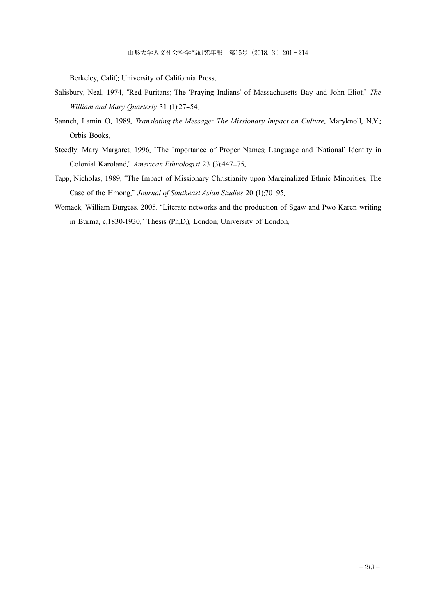Berkeley, Calif.: University of California Press.

- Salisbury, Neal. 1974. "Red Puritans: The 'Praying Indians' of Massachusetts Bay and John Eliot." *The William and Mary Quarterly* 31 (1):27–54.
- Sanneh, Lamin O. 1989. *Translating the Message: The Missionary Impact on Culture*. Maryknoll, N.Y.: Orbis Books.
- Steedly, Mary Margaret. 1996. "The Importance of Proper Names: Language and 'National' Identity in Colonial Karoland." *American Ethnologist* 23 (3):447–75.
- Tapp, Nicholas. 1989. "The Impact of Missionary Christianity upon Marginalized Ethnic Minorities: The Case of the Hmong." *Journal of Southeast Asian Studies* 20 (1):70–95.
- Womack, William Burgess. 2005. "Literate networks and the production of Sgaw and Pwo Karen writing in Burma, c.1830-1930." Thesis (Ph.D.), London: University of London.